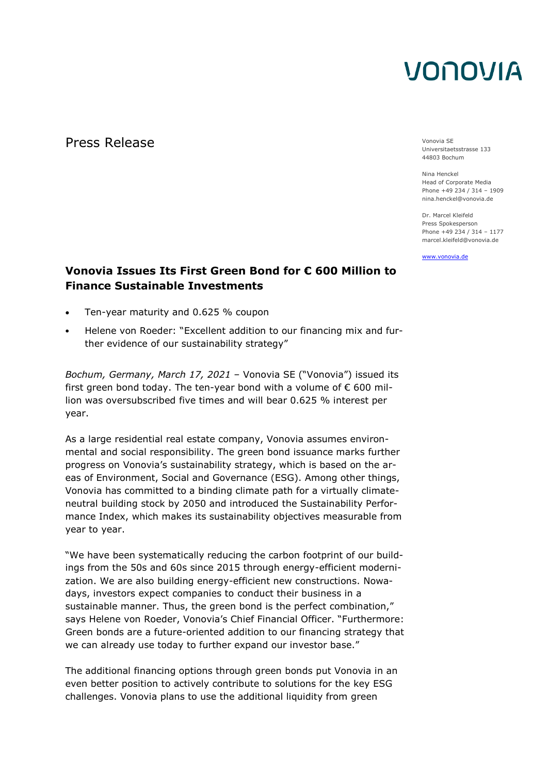# VONOVIA

Press Release Vonovia SE

Universitaetsstrasse 133 44803 Bochum

Nina Henckel Head of Corporate Media Phone +49 234 / 314 – 1909 nina.henckel@vonovia.de

Dr. Marcel Kleifeld Press Spokesperson Phone +49 234 / 314 – 1177 marcel.kleifeld@vonovia.de

[www.vonovia.de](http://www.vonovia.de/)

### **Vonovia Issues Its First Green Bond for € 600 Million to Finance Sustainable Investments**

- Ten-year maturity and 0.625 % coupon
- Helene von Roeder: "Excellent addition to our financing mix and further evidence of our sustainability strategy"

*Bochum, Germany, March 17, 2021* – Vonovia SE ("Vonovia") issued its first green bond today. The ten-year bond with a volume of  $\epsilon$  600 million was oversubscribed five times and will bear 0.625 % interest per year.

As a large residential real estate company, Vonovia assumes environmental and social responsibility. The green bond issuance marks further progress on Vonovia's sustainability strategy, which is based on the areas of Environment, Social and Governance (ESG). Among other things, Vonovia has committed to a binding climate path for a virtually climateneutral building stock by 2050 and introduced the Sustainability Performance Index, which makes its sustainability objectives measurable from year to year.

"We have been systematically reducing the carbon footprint of our buildings from the 50s and 60s since 2015 through energy-efficient modernization. We are also building energy-efficient new constructions. Nowadays, investors expect companies to conduct their business in a sustainable manner. Thus, the green bond is the perfect combination," says Helene von Roeder, Vonovia's Chief Financial Officer. "Furthermore: Green bonds are a future-oriented addition to our financing strategy that we can already use today to further expand our investor base."

The additional financing options through green bonds put Vonovia in an even better position to actively contribute to solutions for the key ESG challenges. Vonovia plans to use the additional liquidity from green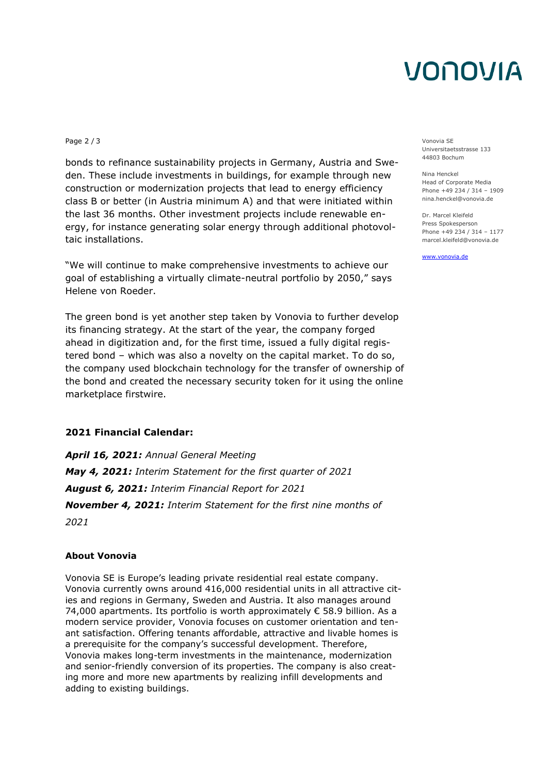# VONOVIA

Page 2 / 3 Vonovia SE

bonds to refinance sustainability projects in Germany, Austria and Sweden. These include investments in buildings, for example through new construction or modernization projects that lead to energy efficiency class B or better (in Austria minimum A) and that were initiated within the last 36 months. Other investment projects include renewable energy, for instance generating solar energy through additional photovoltaic installations.

"We will continue to make comprehensive investments to achieve our goal of establishing a virtually climate-neutral portfolio by 2050," says Helene von Roeder.

The green bond is yet another step taken by Vonovia to further develop its financing strategy. At the start of the year, the company forged ahead in digitization and, for the first time, issued a fully digital registered bond – which was also a novelty on the capital market. To do so, the company used blockchain technology for the transfer of ownership of the bond and created the necessary security token for it using the online marketplace firstwire.

### **2021 Financial Calendar:**

*April 16, 2021: Annual General Meeting May 4, 2021: Interim Statement for the first quarter of 2021 August 6, 2021: Interim Financial Report for 2021 November 4, 2021: Interim Statement for the first nine months of 2021* 

### **About Vonovia**

Vonovia SE is Europe's leading private residential real estate company. Vonovia currently owns around 416,000 residential units in all attractive cities and regions in Germany, Sweden and Austria. It also manages around 74,000 apartments. Its portfolio is worth approximately € 58.9 billion. As a modern service provider, Vonovia focuses on customer orientation and tenant satisfaction. Offering tenants affordable, attractive and livable homes is a prerequisite for the company's successful development. Therefore, Vonovia makes long-term investments in the maintenance, modernization and senior-friendly conversion of its properties. The company is also creating more and more new apartments by realizing infill developments and adding to existing buildings.

Universitaetsstrasse 133 44803 Bochum

Nina Henckel Head of Corporate Media Phone +49 234 / 314 – 1909 nina.henckel@vonovia.de

Dr. Marcel Kleifeld Press Spokesperson Phone +49 234 / 314 – 1177 marcel.kleifeld@vonovia.de

[www.vonovia.de](http://www.vonovia.de/)